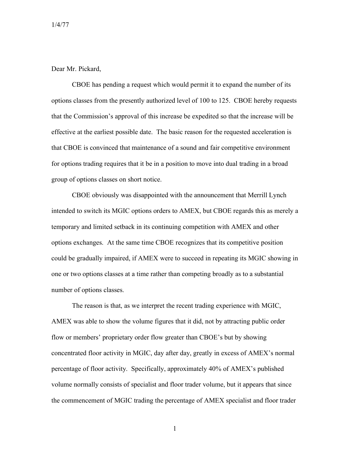Dear Mr. Pickard,

CBOE has pending a request which would permit it to expand the number of its options classes from the presently authorized level of 100 to 125. CBOE hereby requests that the Commission's approval of this increase be expedited so that the increase will be effective at the earliest possible date. The basic reason for the requested acceleration is that CBOE is convinced that maintenance of a sound and fair competitive environment for options trading requires that it be in a position to move into dual trading in a broad group of options classes on short notice.

CBOE obviously was disappointed with the announcement that Merrill Lynch intended to switch its MGIC options orders to AMEX, but CBOE regards this as merely a temporary and limited setback in its continuing competition with AMEX and other options exchanges. At the same time CBOE recognizes that its competitive position could be gradually impaired, if AMEX were to succeed in repeating its MGIC showing in one or two options classes at a time rather than competing broadly as to a substantial number of options classes.

The reason is that, as we interpret the recent trading experience with MGIC, AMEX was able to show the volume figures that it did, not by attracting public order flow or members' proprietary order flow greater than CBOE's but by showing concentrated floor activity in MGIC, day after day, greatly in excess of AMEX's normal percentage of floor activity. Specifically, approximately 40% of AMEX's published volume normally consists of specialist and floor trader volume, but it appears that since the commencement of MGIC trading the percentage of AMEX specialist and floor trader

1